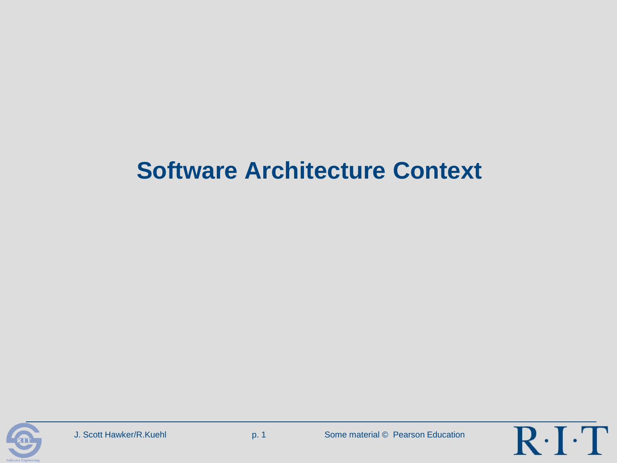## **Software Architecture Context**



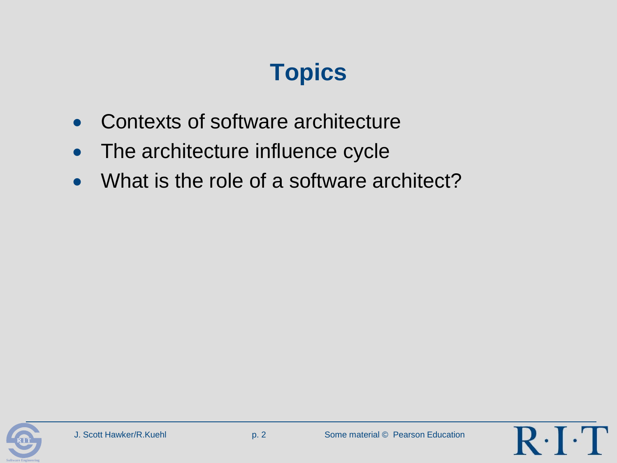# **Topics**

- Contexts of software architecture
- The architecture influence cycle
- What is the role of a software architect?



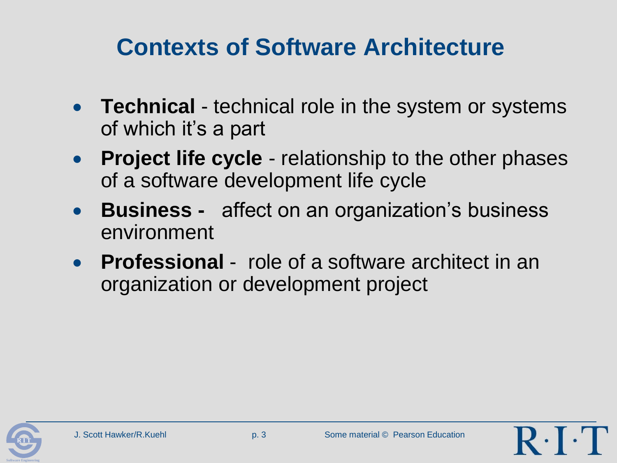## **Contexts of Software Architecture**

- **Technical** technical role in the system or systems of which it's a part
- **Project life cycle** relationship to the other phases of a software development life cycle
- **Business -** affect on an organization's business environment
- **Professional** role of a software architect in an organization or development project



 $R \cdot$  [  $\cdot$  ]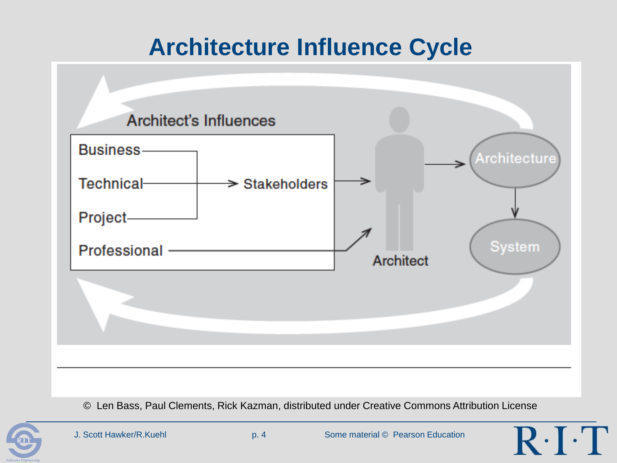## **Architecture Influence Cycle**



© Len Bass, Paul Clements, Rick Kazman, distributed under Creative Commons Attribution License



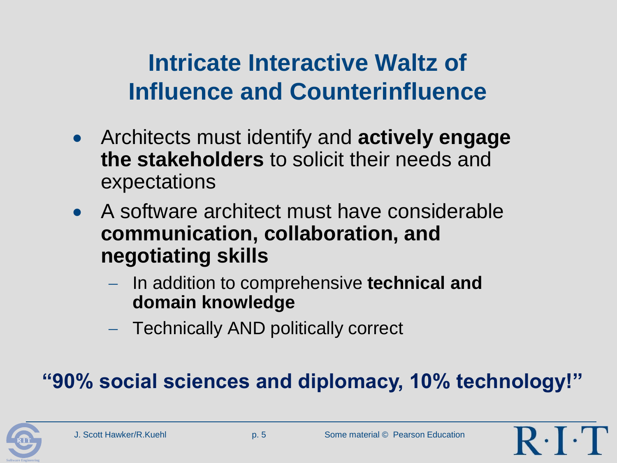## **Intricate Interactive Waltz of Influence and Counterinfluence**

- Architects must identify and **actively engage the stakeholders** to solicit their needs and expectations
- A software architect must have considerable **communication, collaboration, and negotiating skills**
	- In addition to comprehensive **technical and domain knowledge**
	- Technically AND politically correct

### **"90% social sciences and diplomacy, 10% technology!"**

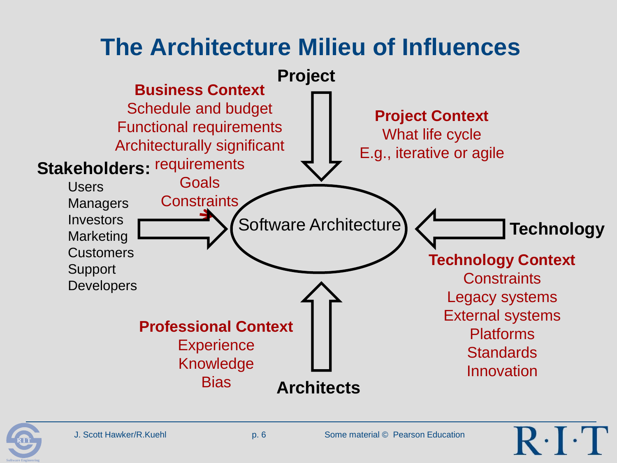## **The Architecture Milieu of Influences**



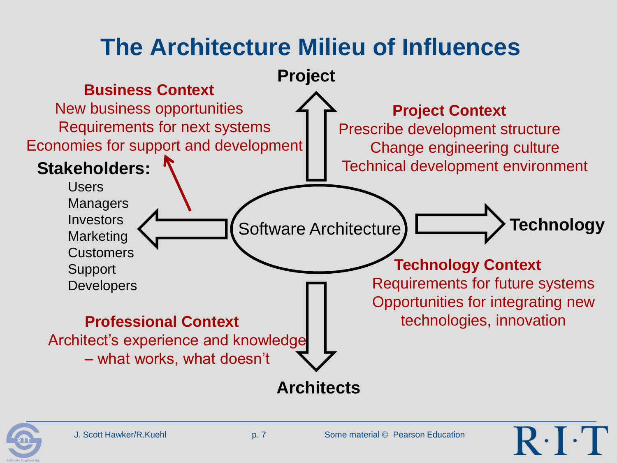# **The Architecture Milieu of Influences**



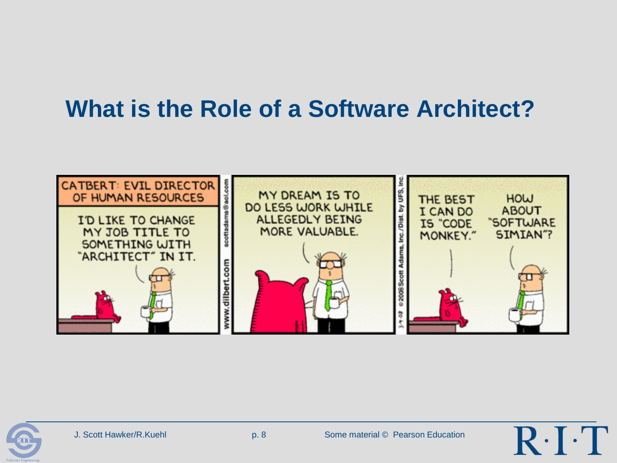## **What is the Role of a Software Architect?**





 $R \cdot$  [ $\cdot$  ]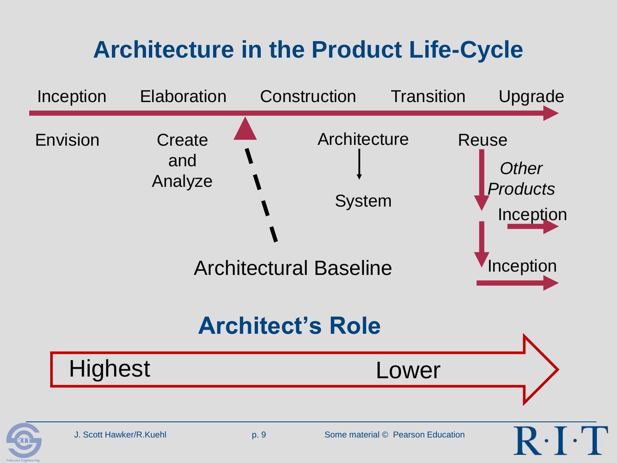# **Architecture in the Product Life-Cycle**

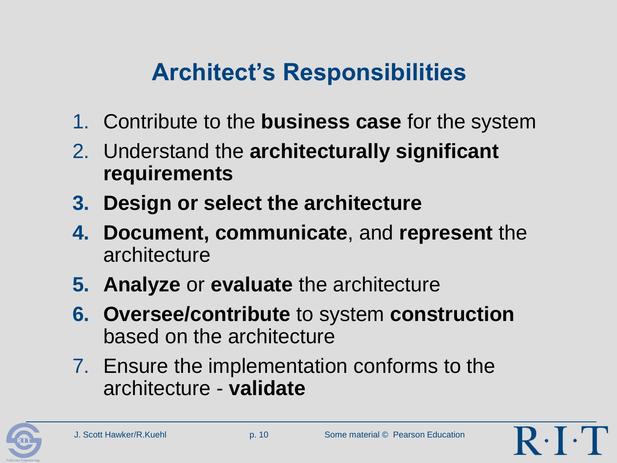# **Architect's Responsibilities**

- 1. Contribute to the **business case** for the system
- 2. Understand the **architecturally significant requirements**
- **3. Design or select the architecture**
- **4. Document, communicate**, and **represent** the architecture
- **5. Analyze** or **evaluate** the architecture
- **6. Oversee/contribute** to system **construction** based on the architecture
- 7. Ensure the implementation conforms to the architecture - **validate**

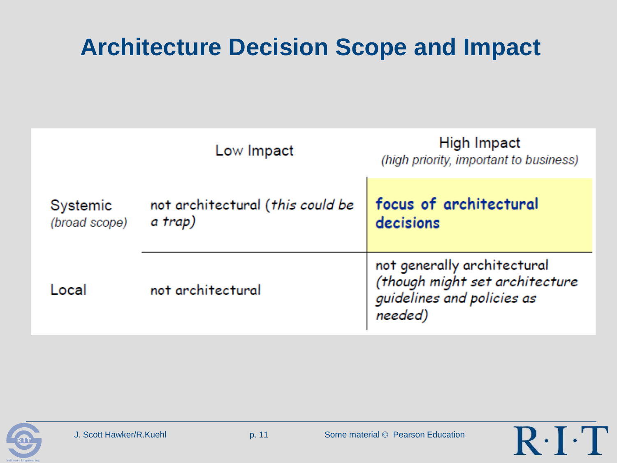## **Architecture Decision Scope and Impact**

|                           | Low Impact                                  | High Impact<br>(high priority, important to business)                                                  |
|---------------------------|---------------------------------------------|--------------------------------------------------------------------------------------------------------|
| Systemic<br>(broad scope) | not architectural (this could be<br>a trap) | focus of architectural<br>decisions                                                                    |
| Local                     | not architectural                           | not generally architectural<br>(though might set architecture<br>guidelines and policies as<br>needed) |



 $R \cdot I \cdot T$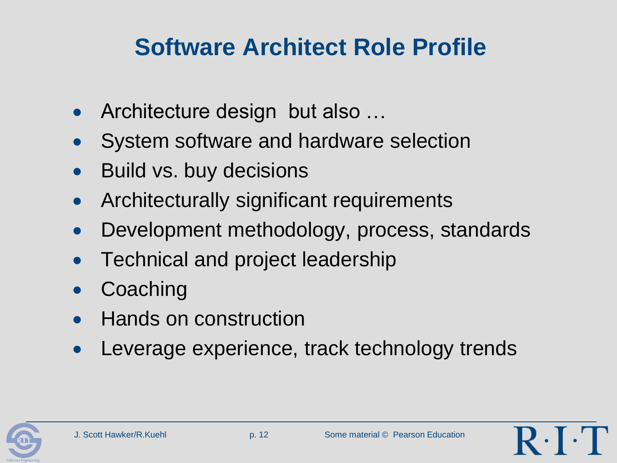## **Software Architect Role Profile**

- Architecture design but also …
- System software and hardware selection
- Build vs. buy decisions
- Architecturally significant requirements
- Development methodology, process, standards
- Technical and project leadership
- **Coaching**
- Hands on construction
- Leverage experience, track technology trends

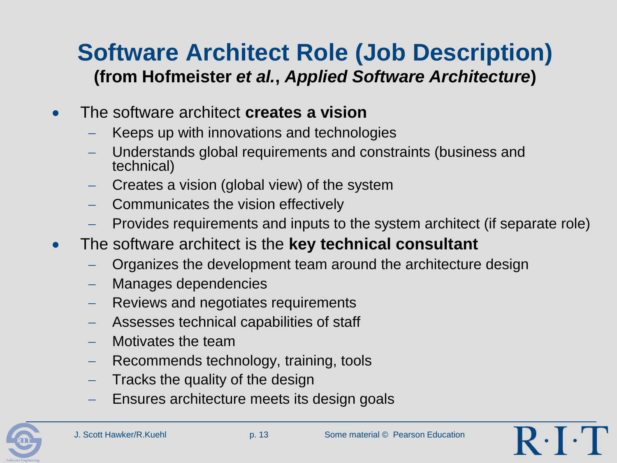### **Software Architect Role (Job Description) (from Hofmeister** *et al.***,** *Applied Software Architecture***)**

- The software architect **creates a vision**
	- Keeps up with innovations and technologies
	- Understands global requirements and constraints (business and technical)
	- Creates a vision (global view) of the system
	- Communicates the vision effectively
	- Provides requirements and inputs to the system architect (if separate role)
- The software architect is the **key technical consultant**
	- Organizes the development team around the architecture design
	- Manages dependencies
	- Reviews and negotiates requirements
	- Assesses technical capabilities of staff
	- Motivates the team
	- Recommends technology, training, tools
	- Tracks the quality of the design
	- Ensures architecture meets its design goals



 $R \cdot$  F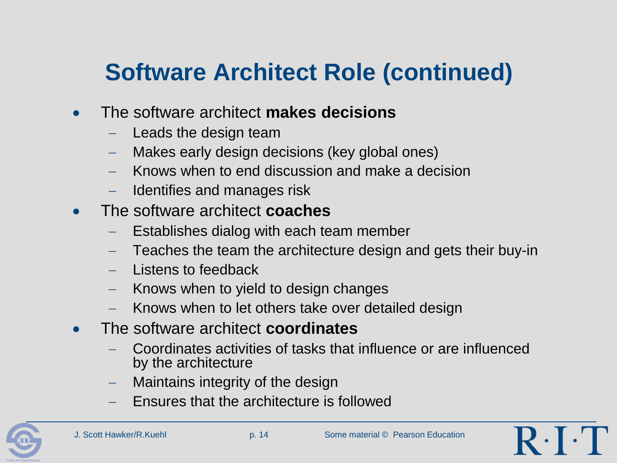# **Software Architect Role (continued)**

- The software architect **makes decisions**
	- Leads the design team
	- Makes early design decisions (key global ones)
	- Knows when to end discussion and make a decision
	- Identifies and manages risk
- The software architect **coaches**
	- Establishes dialog with each team member
	- Teaches the team the architecture design and gets their buy-in
	- Listens to feedback
	- Knows when to yield to design changes
	- Knows when to let others take over detailed design
- The software architect **coordinates**
	- Coordinates activities of tasks that influence or are influenced by the architecture
	- Maintains integrity of the design
	- Ensures that the architecture is followed



 $R \cdot \cdot$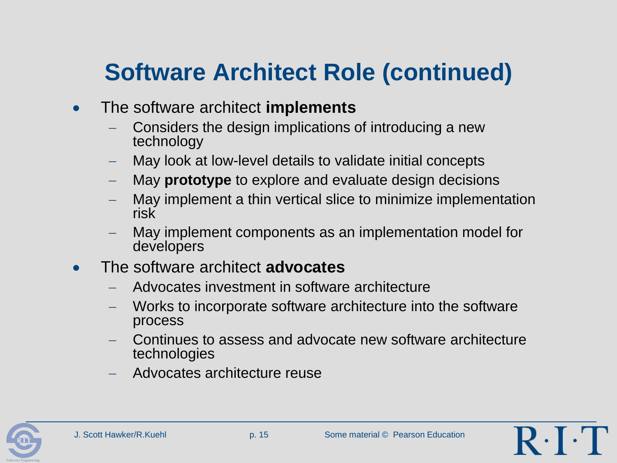# **Software Architect Role (continued)**

- The software architect **implements**
	- Considers the design implications of introducing a new technology
	- May look at low-level details to validate initial concepts
	- May **prototype** to explore and evaluate design decisions
	- May implement a thin vertical slice to minimize implementation risk
	- May implement components as an implementation model for developers
- The software architect **advocates**
	- Advocates investment in software architecture
	- Works to incorporate software architecture into the software process
	- Continues to assess and advocate new software architecture technologies
	- Advocates architecture reuse